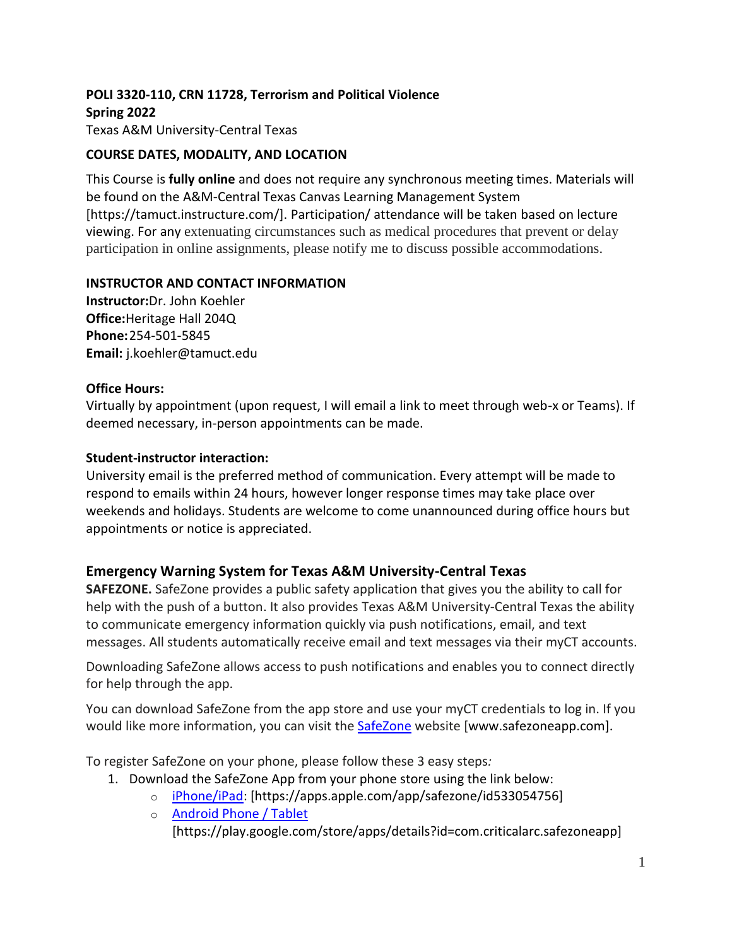# **POLI 3320-110, CRN 11728, Terrorism and Political Violence Spring 2022**

Texas A&M University-Central Texas

## **COURSE DATES, MODALITY, AND LOCATION**

This Course is **fully online** and does not require any synchronous meeting times. Materials will be found on the A&M-Central Texas Canvas Learning Management System [https://tamuct.instructure.com/]. Participation/ attendance will be taken based on lecture viewing. For any extenuating circumstances such as medical procedures that prevent or delay participation in online assignments, please notify me to discuss possible accommodations.

### **INSTRUCTOR AND CONTACT INFORMATION**

**Instructor:**Dr. John Koehler **Office:**Heritage Hall 204Q **Phone:**254-501-5845 **Email:** j.koehler@tamuct.edu

### **Office Hours:**

Virtually by appointment (upon request, I will email a link to meet through web-x or Teams). If deemed necessary, in-person appointments can be made.

### **Student-instructor interaction:**

University email is the preferred method of communication. Every attempt will be made to respond to emails within 24 hours, however longer response times may take place over weekends and holidays. Students are welcome to come unannounced during office hours but appointments or notice is appreciated.

### **Emergency Warning System for Texas A&M University-Central Texas**

**SAFEZONE.** SafeZone provides a public safety application that gives you the ability to call for help with the push of a button. It also provides Texas A&M University-Central Texas the ability to communicate emergency information quickly via push notifications, email, and text messages. All students automatically receive email and text messages via their myCT accounts.

Downloading SafeZone allows access to push notifications and enables you to connect directly for help through the app.

You can download SafeZone from the app store and use your myCT credentials to log in. If you would like more information, you can visit the **[SafeZone](http://www.safezoneapp.com/) website [www.safezoneapp.com]**.

To register SafeZone on your phone, please follow these 3 easy steps*:*

- 1. Download the SafeZone App from your phone store using the link below:
	- o [iPhone/iPad:](https://apps.apple.com/app/safezone/id533054756) [https://apps.apple.com/app/safezone/id533054756]
	- o **[Android Phone / Tablet](https://play.google.com/store/apps/details?id=com.criticalarc.safezoneapp)** [https://play.google.com/store/apps/details?id=com.criticalarc.safezoneapp]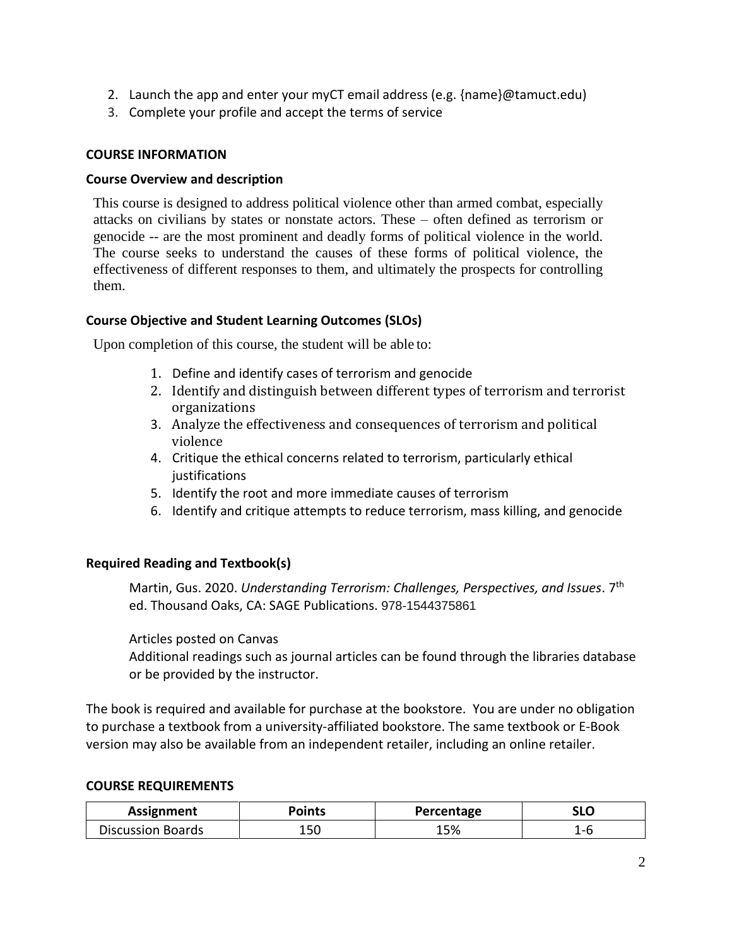- 2. Launch the app and enter your myCT email address (e.g. {name}@tamuct.edu)
- 3. Complete your profile and accept the terms of service

#### **COURSE INFORMATION**

#### **Course Overview and description**

This course is designed to address political violence other than armed combat, especially attacks on civilians by states or nonstate actors. These – often defined as terrorism or genocide -- are the most prominent and deadly forms of political violence in the world. The course seeks to understand the causes of these forms of political violence, the effectiveness of different responses to them, and ultimately the prospects for controlling them.

#### **Course Objective and Student Learning Outcomes (SLOs)**

Upon completion of this course, the student will be able to:

- 1. Define and identify cases of terrorism and genocide
- 2. Identify and distinguish between different types of terrorism and terrorist organizations
- 3. Analyze the effectiveness and consequences of terrorism and political violence
- 4. Critique the ethical concerns related to terrorism, particularly ethical **justifications**
- 5. Identify the root and more immediate causes of terrorism
- 6. Identify and critique attempts to reduce terrorism, mass killing, and genocide

#### **Required Reading and Textbook(s)**

Martin, Gus. 2020. *Understanding Terrorism: Challenges, Perspectives, and Issues*. 7 th ed. Thousand Oaks, CA: SAGE Publications. 978-1544375861

Articles posted on Canvas

Additional readings such as journal articles can be found through the libraries database or be provided by the instructor.

The book is required and available for purchase at the bookstore. You are under no obligation to purchase a textbook from a university-affiliated bookstore. The same textbook or E-Book version may also be available from an independent retailer, including an online retailer.

#### **COURSE REQUIREMENTS**

| Assignment               | Points | Percentage | <b>SLC</b> |
|--------------------------|--------|------------|------------|
| <b>Discussion Boards</b> | 15C    | 15%        | -          |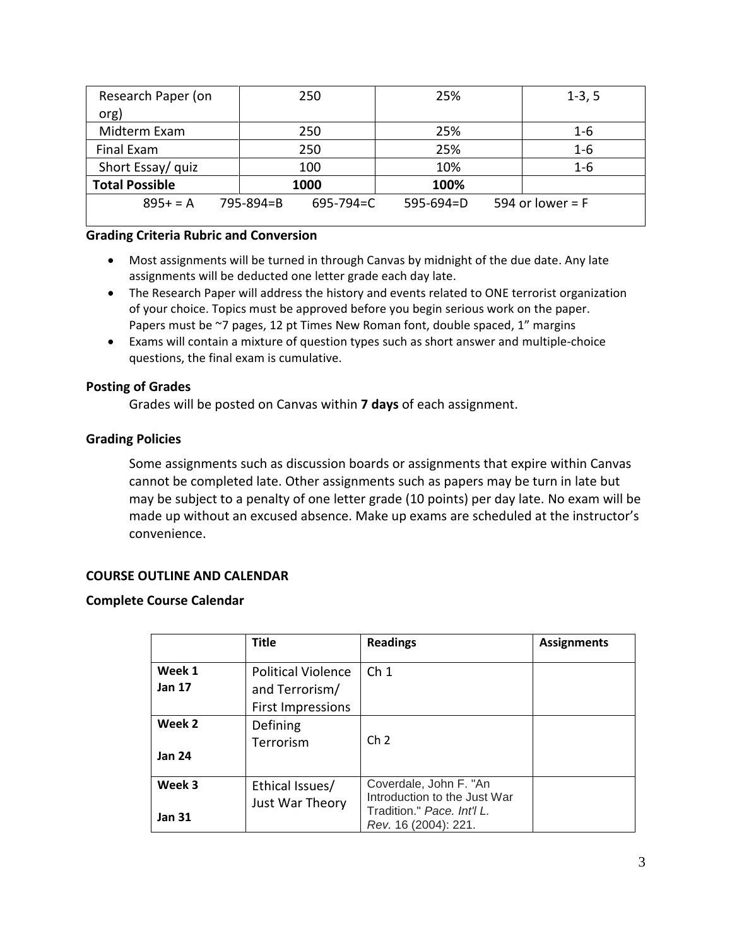| Research Paper (on    | 250                          | 25%             | $1-3, 5$           |
|-----------------------|------------------------------|-----------------|--------------------|
| org)                  |                              |                 |                    |
| Midterm Exam          | 250                          | 25%             | $1 - 6$            |
| Final Exam            | 250                          | 25%             | $1 - 6$            |
| Short Essay/ quiz     | 100                          | 10%             | $1 - 6$            |
| <b>Total Possible</b> | 1000                         | 100%            |                    |
| $895+ = A$            | 795-894=B<br>$695 - 794 = C$ | $595 - 694 = D$ | 594 or lower = $F$ |

#### **Grading Criteria Rubric and Conversion**

- Most assignments will be turned in through Canvas by midnight of the due date. Any late assignments will be deducted one letter grade each day late.
- The Research Paper will address the history and events related to ONE terrorist organization of your choice. Topics must be approved before you begin serious work on the paper. Papers must be ~7 pages, 12 pt Times New Roman font, double spaced, 1" margins
- Exams will contain a mixture of question types such as short answer and multiple-choice questions, the final exam is cumulative.

### **Posting of Grades**

Grades will be posted on Canvas within **7 days** of each assignment.

### **Grading Policies**

Some assignments such as discussion boards or assignments that expire within Canvas cannot be completed late. Other assignments such as papers may be turn in late but may be subject to a penalty of one letter grade (10 points) per day late. No exam will be made up without an excused absence. Make up exams are scheduled at the instructor's convenience.

### **COURSE OUTLINE AND CALENDAR**

#### **Complete Course Calendar**

|                         | <b>Title</b>                                                            | <b>Readings</b>                                                                                              | <b>Assignments</b> |
|-------------------------|-------------------------------------------------------------------------|--------------------------------------------------------------------------------------------------------------|--------------------|
| Week 1<br><b>Jan 17</b> | <b>Political Violence</b><br>and Terrorism/<br><b>First Impressions</b> | Ch <sub>1</sub>                                                                                              |                    |
| Week 2<br><b>Jan 24</b> | Defining<br>Terrorism                                                   | Ch <sub>2</sub>                                                                                              |                    |
| Week 3<br><b>Jan 31</b> | Ethical Issues/<br>Just War Theory                                      | Coverdale, John F. "An<br>Introduction to the Just War<br>Tradition." Pace. Int'l L.<br>Rev. 16 (2004): 221. |                    |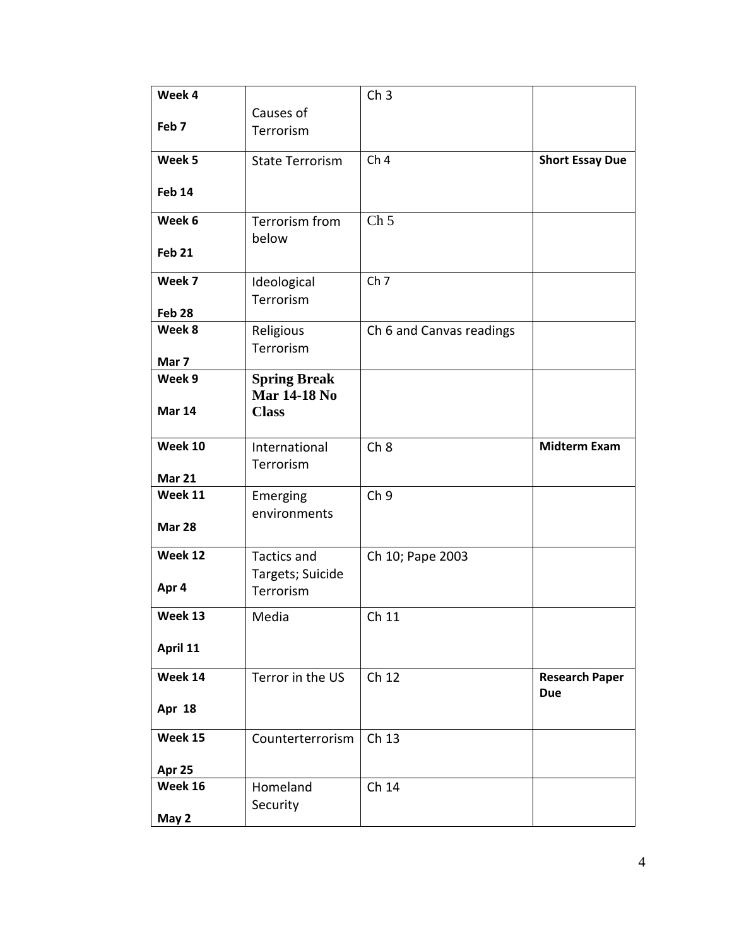| Week 4           |                                            | Ch <sub>3</sub>          |                        |
|------------------|--------------------------------------------|--------------------------|------------------------|
|                  | Causes of                                  |                          |                        |
| Feb <sub>7</sub> | Terrorism                                  |                          |                        |
| Week 5           | <b>State Terrorism</b>                     | Ch <sub>4</sub>          | <b>Short Essay Due</b> |
|                  |                                            |                          |                        |
| <b>Feb 14</b>    |                                            |                          |                        |
| Week 6           | Terrorism from                             | Ch <sub>5</sub>          |                        |
| <b>Feb 21</b>    | below                                      |                          |                        |
| Week 7           | Ideological                                | Ch <sub>7</sub>          |                        |
| Feb 28           | Terrorism                                  |                          |                        |
| Week 8           | Religious                                  | Ch 6 and Canvas readings |                        |
|                  | Terrorism                                  |                          |                        |
| Mar 7            |                                            |                          |                        |
| Week 9           | <b>Spring Break</b><br><b>Mar 14-18 No</b> |                          |                        |
| <b>Mar 14</b>    | <b>Class</b>                               |                          |                        |
| Week 10          | International<br>Terrorism                 | Ch <sub>8</sub>          | <b>Midterm Exam</b>    |
| <b>Mar 21</b>    |                                            |                          |                        |
| Week 11          | Emerging                                   | Ch <sub>9</sub>          |                        |
|                  | environments                               |                          |                        |
| <b>Mar 28</b>    |                                            |                          |                        |
| Week 12          | <b>Tactics and</b>                         | Ch 10; Pape 2003         |                        |
|                  | Targets; Suicide                           |                          |                        |
| Apr 4            | Terrorism                                  |                          |                        |
| Week 13          | Media                                      | Ch 11                    |                        |
| April 11         |                                            |                          |                        |
|                  |                                            |                          |                        |
| Week 14          | Terror in the US                           | Ch 12                    | <b>Research Paper</b>  |
| <b>Apr 18</b>    |                                            |                          | <b>Due</b>             |
| Week 15          | Counterterrorism                           | Ch 13                    |                        |
|                  |                                            |                          |                        |
| Apr 25           |                                            |                          |                        |
| Week 16          | Homeland                                   | Ch 14                    |                        |
| May 2            | Security                                   |                          |                        |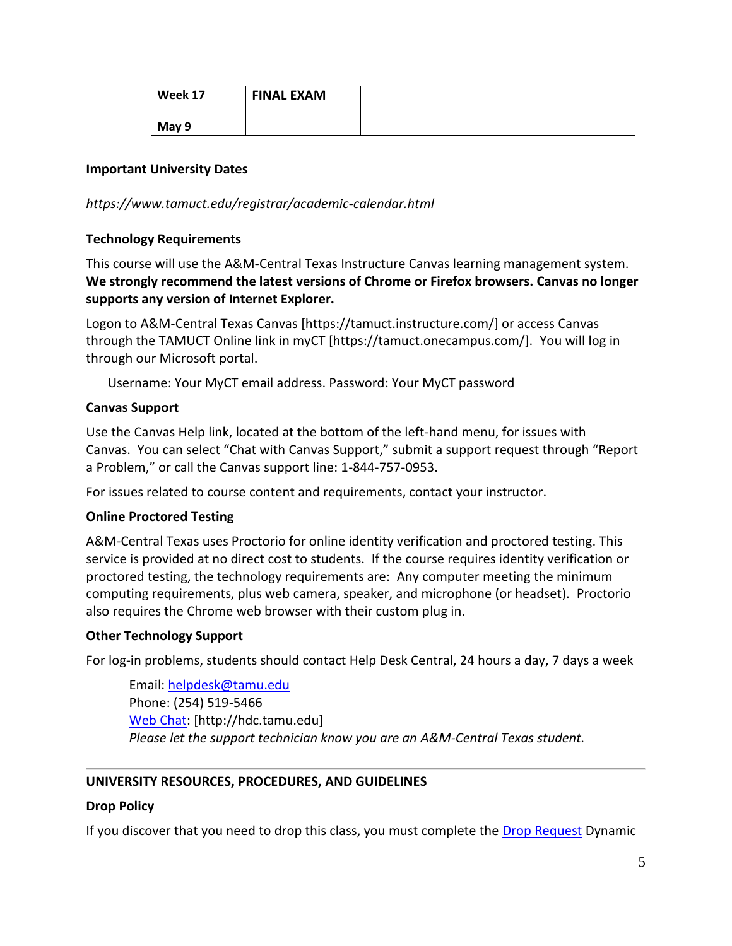| Week 17 | <b>FINAL EXAM</b> |  |
|---------|-------------------|--|
| May 9   |                   |  |

#### **Important University Dates**

### *https://www.tamuct.edu/registrar/academic-calendar.html*

### **Technology Requirements**

This course will use the A&M-Central Texas Instructure Canvas learning management system. **We strongly recommend the latest versions of Chrome or Firefox browsers. Canvas no longer supports any version of Internet Explorer.**

Logon to A&M-Central Texas Canvas [https://tamuct.instructure.com/] or access Canvas through the TAMUCT Online link in myCT [https://tamuct.onecampus.com/]. You will log in through our Microsoft portal.

Username: Your MyCT email address. Password: Your MyCT password

### **Canvas Support**

Use the Canvas Help link, located at the bottom of the left-hand menu, for issues with Canvas. You can select "Chat with Canvas Support," submit a support request through "Report a Problem," or call the Canvas support line: 1-844-757-0953.

For issues related to course content and requirements, contact your instructor.

#### **Online Proctored Testing**

A&M-Central Texas uses Proctorio for online identity verification and proctored testing. This service is provided at no direct cost to students. If the course requires identity verification or proctored testing, the technology requirements are: Any computer meeting the minimum computing requirements, plus web camera, speaker, and microphone (or headset). Proctorio also requires the Chrome web browser with their custom plug in.

#### **Other Technology Support**

For log-in problems, students should contact Help Desk Central, 24 hours a day, 7 days a week

Email: [helpdesk@tamu.edu](mailto:helpdesk@tamu.edu) Phone: (254) 519-5466 [Web Chat:](http://hdc.tamu.edu/) [http://hdc.tamu.edu] *Please let the support technician know you are an A&M-Central Texas student.*

#### **UNIVERSITY RESOURCES, PROCEDURES, AND GUIDELINES**

#### **Drop Policy**

If you discover that you need to drop this class, you must complete the [Drop Request](https://dynamicforms.ngwebsolutions.com/casAuthentication.ashx?InstID=eaed95b9-f2be-45f3-a37d-46928168bc10&targetUrl=https%3A%2F%2Fdynamicforms.ngwebsolutions.com%2FSubmit%2FForm%2FStart%2F53b8369e-0502-4f36-be43-f02a4202f612) Dynamic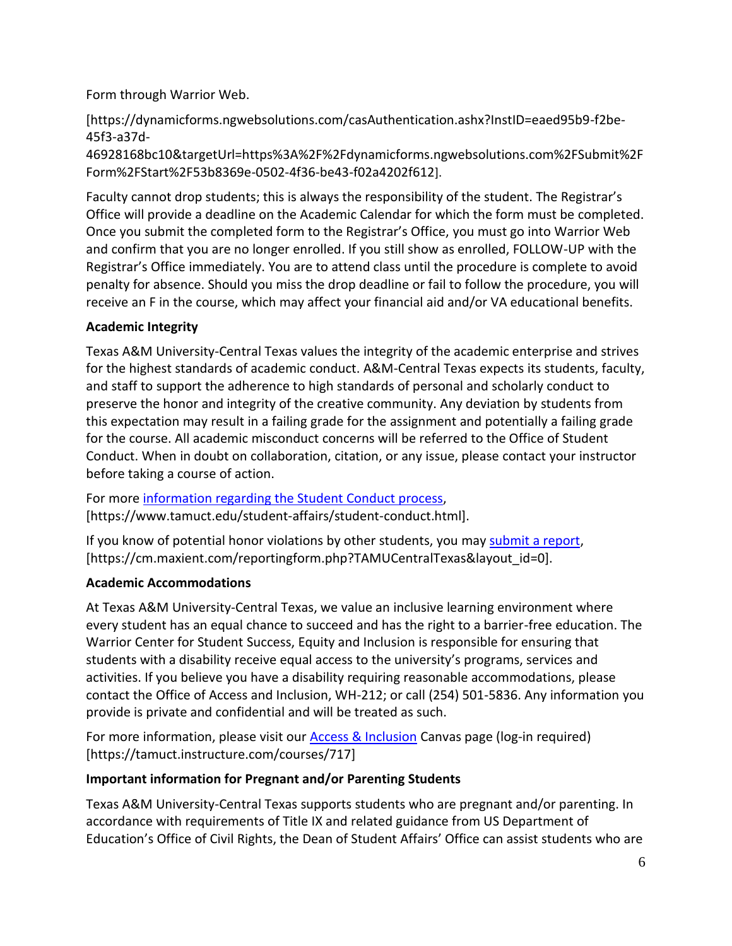Form through Warrior Web.

[https://dynamicforms.ngwebsolutions.com/casAuthentication.ashx?InstID=eaed95b9-f2be-45f3-a37d-

46928168bc10&targetUrl=https%3A%2F%2Fdynamicforms.ngwebsolutions.com%2FSubmit%2F Form%2FStart%2F53b8369e-0502-4f36-be43-f02a4202f612].

Faculty cannot drop students; this is always the responsibility of the student. The Registrar's Office will provide a deadline on the Academic Calendar for which the form must be completed. Once you submit the completed form to the Registrar's Office, you must go into Warrior Web and confirm that you are no longer enrolled. If you still show as enrolled, FOLLOW-UP with the Registrar's Office immediately. You are to attend class until the procedure is complete to avoid penalty for absence. Should you miss the drop deadline or fail to follow the procedure, you will receive an F in the course, which may affect your financial aid and/or VA educational benefits.

# **Academic Integrity**

Texas A&M University-Central Texas values the integrity of the academic enterprise and strives for the highest standards of academic conduct. A&M-Central Texas expects its students, faculty, and staff to support the adherence to high standards of personal and scholarly conduct to preserve the honor and integrity of the creative community. Any deviation by students from this expectation may result in a failing grade for the assignment and potentially a failing grade for the course. All academic misconduct concerns will be referred to the Office of Student Conduct. When in doubt on collaboration, citation, or any issue, please contact your instructor before taking a course of action.

For more [information](https://nam04.safelinks.protection.outlook.com/?url=https%3A%2F%2Fwww.tamuct.edu%2Fstudent-affairs%2Fstudent-conduct.html&data=04%7C01%7Clisa.bunkowski%40tamuct.edu%7Ccfb6e486f24745f53e1a08d910055cb2%7C9eed4e3000f744849ff193ad8005acec%7C0%7C0%7C637558437485252160%7CUnknown%7CTWFpbGZsb3d8eyJWIjoiMC4wLjAwMDAiLCJQIjoiV2luMzIiLCJBTiI6Ik1haWwiLCJXVCI6Mn0%3D%7C1000&sdata=yjftDEVHvLX%2FhM%2FcFU0B99krV1RgEWR%2BJ%2BhvtoR6TYk%3D&reserved=0) regarding the Student Conduct process, [https://www.tamuct.edu/student-affairs/student-conduct.html].

If you know of potential honor violations by other students, you may [submit](https://nam04.safelinks.protection.outlook.com/?url=https%3A%2F%2Fcm.maxient.com%2Freportingform.php%3FTAMUCentralTexas%26layout_id%3D0&data=04%7C01%7Clisa.bunkowski%40tamuct.edu%7Ccfb6e486f24745f53e1a08d910055cb2%7C9eed4e3000f744849ff193ad8005acec%7C0%7C0%7C637558437485262157%7CUnknown%7CTWFpbGZsb3d8eyJWIjoiMC4wLjAwMDAiLCJQIjoiV2luMzIiLCJBTiI6Ik1haWwiLCJXVCI6Mn0%3D%7C1000&sdata=CXGkOa6uPDPX1IMZ87z3aZDq2n91xfHKu4MMS43Ejjk%3D&reserved=0) a report, [https://cm.maxient.com/reportingform.php?TAMUCentralTexas&layout\_id=0].

### **Academic Accommodations**

At Texas A&M University-Central Texas, we value an inclusive learning environment where every student has an equal chance to succeed and has the right to a barrier-free education. The Warrior Center for Student Success, Equity and Inclusion is responsible for ensuring that students with a disability receive equal access to the university's programs, services and activities. If you believe you have a disability requiring reasonable accommodations, please contact the Office of Access and Inclusion, WH-212; or call (254) 501-5836. Any information you provide is private and confidential and will be treated as such.

For more information, please visit our Access [& Inclusion](https://tamuct.instructure.com/courses/717) Canvas page (log-in required) [https://tamuct.instructure.com/courses/717]

### **Important information for Pregnant and/or Parenting Students**

Texas A&M University-Central Texas supports students who are pregnant and/or parenting. In accordance with requirements of Title IX and related guidance from US Department of Education's Office of Civil Rights, the Dean of Student Affairs' Office can assist students who are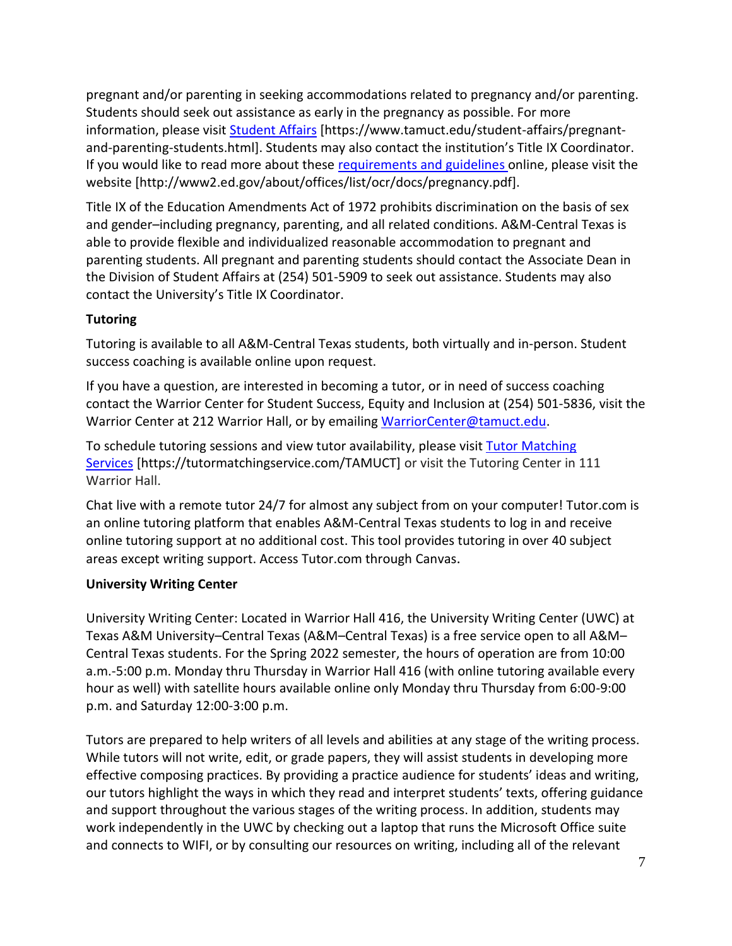pregnant and/or parenting in seeking accommodations related to pregnancy and/or parenting. Students should seek out assistance as early in the pregnancy as possible. For more information, please visit [Student Affairs](https://www.tamuct.edu/student-affairs/pregnant-and-parenting-students.html) [https://www.tamuct.edu/student-affairs/pregnantand-parenting-students.html]. Students may also contact the institution's Title IX Coordinator. If you would like to read more about these [requirements and guidelines](http://www2.ed.gov/about/offices/list/ocr/docs/pregnancy.pdf) online, please visit the website [http://www2.ed.gov/about/offices/list/ocr/docs/pregnancy.pdf].

Title IX of the Education Amendments Act of 1972 prohibits discrimination on the basis of sex and gender–including pregnancy, parenting, and all related conditions. A&M-Central Texas is able to provide flexible and individualized reasonable accommodation to pregnant and parenting students. All pregnant and parenting students should contact the Associate Dean in the Division of Student Affairs at (254) 501-5909 to seek out assistance. Students may also contact the University's Title IX Coordinator.

# **Tutoring**

Tutoring is available to all A&M-Central Texas students, both virtually and in-person. Student success coaching is available online upon request.

If you have a question, are interested in becoming a tutor, or in need of success coaching contact the Warrior Center for Student Success, Equity and Inclusion at (254) 501-5836, visit the Warrior Center at 212 Warrior Hall, or by emailing [WarriorCenter@tamuct.edu.](mailto:WarriorCenter@tamuct.edu)

To schedule tutoring sessions and view tutor availability, please visit Tutor [Matching](https://tutormatchingservice.com/TAMUCT) [Services](https://tutormatchingservice.com/TAMUCT) [https://tutormatchingservice.com/TAMUCT] or visit the Tutoring Center in 111 Warrior Hall.

Chat live with a remote tutor 24/7 for almost any subject from on your computer! Tutor.com is an online tutoring platform that enables A&M-Central Texas students to log in and receive online tutoring support at no additional cost. This tool provides tutoring in over 40 subject areas except writing support. Access Tutor.com through Canvas.

### **University Writing Center**

University Writing Center: Located in Warrior Hall 416, the University Writing Center (UWC) at Texas A&M University–Central Texas (A&M–Central Texas) is a free service open to all A&M– Central Texas students. For the Spring 2022 semester, the hours of operation are from 10:00 a.m.-5:00 p.m. Monday thru Thursday in Warrior Hall 416 (with online tutoring available every hour as well) with satellite hours available online only Monday thru Thursday from 6:00-9:00 p.m. and Saturday 12:00-3:00 p.m.

Tutors are prepared to help writers of all levels and abilities at any stage of the writing process. While tutors will not write, edit, or grade papers, they will assist students in developing more effective composing practices. By providing a practice audience for students' ideas and writing, our tutors highlight the ways in which they read and interpret students' texts, offering guidance and support throughout the various stages of the writing process. In addition, students may work independently in the UWC by checking out a laptop that runs the Microsoft Office suite and connects to WIFI, or by consulting our resources on writing, including all of the relevant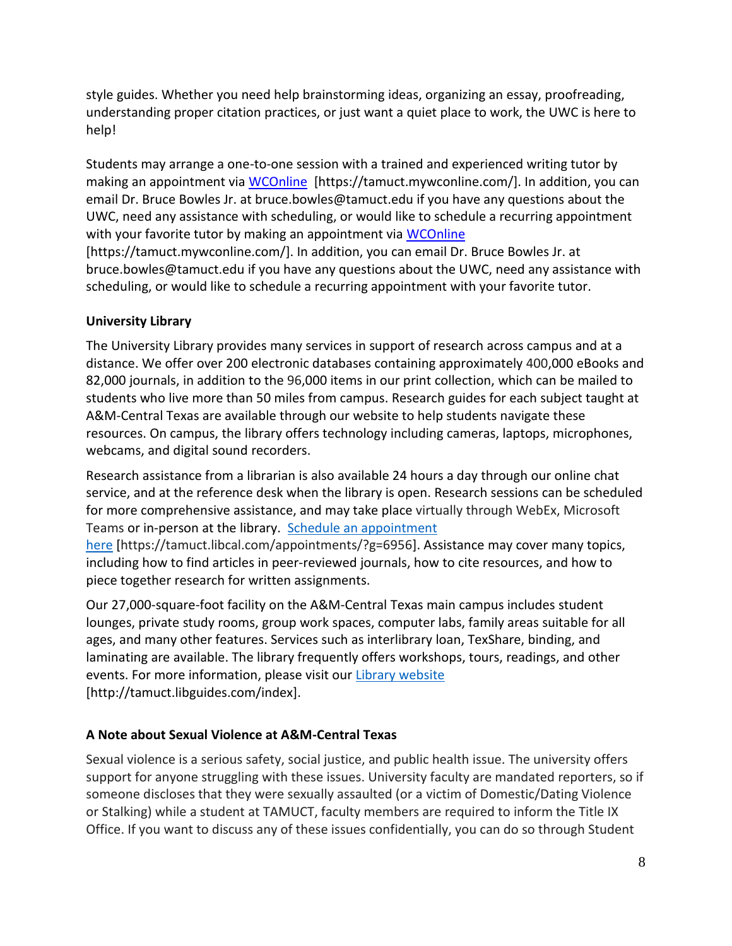style guides. Whether you need help brainstorming ideas, organizing an essay, proofreading, understanding proper citation practices, or just want a quiet place to work, the UWC is here to help!

Students may arrange a one-to-one session with a trained and experienced writing tutor by making an appointment via [WCOnline](https://tamuct.mywconline.com/) [https://tamuct.mywconline.com/]. In addition, you can email Dr. Bruce Bowles Jr. at bruce.bowles@tamuct.edu if you have any questions about the UWC, need any assistance with scheduling, or would like to schedule a recurring appointment with your favorite tutor by making an appointment via [WCOnline](https://tamuct.mywconline.com/)

[https://tamuct.mywconline.com/]. In addition, you can email Dr. Bruce Bowles Jr. at bruce.bowles@tamuct.edu if you have any questions about the UWC, need any assistance with scheduling, or would like to schedule a recurring appointment with your favorite tutor.

# **University Library**

The University Library provides many services in support of research across campus and at a distance. We offer over 200 electronic databases containing approximately 400,000 eBooks and 82,000 journals, in addition to the 96,000 items in our print collection, which can be mailed to students who live more than 50 miles from campus. Research guides for each subject taught at A&M-Central Texas are available through our website to help students navigate these resources. On campus, the library offers technology including cameras, laptops, microphones, webcams, and digital sound recorders.

Research assistance from a librarian is also available 24 hours a day through our online chat service, and at the reference desk when the library is open. Research sessions can be scheduled for more comprehensive assistance, and may take place virtually through WebEx, Microsoft Teams or in-person at the library. Schedule an [appointment](https://nam04.safelinks.protection.outlook.com/?url=https%3A%2F%2Ftamuct.libcal.com%2Fappointments%2F%3Fg%3D6956&data=04%7C01%7Clisa.bunkowski%40tamuct.edu%7Cde2c07d9f5804f09518008d9ab7ba6ff%7C9eed4e3000f744849ff193ad8005acec%7C0%7C0%7C637729369835011558%7CUnknown%7CTWFpbGZsb3d8eyJWIjoiMC4wLjAwMDAiLCJQIjoiV2luMzIiLCJBTiI6Ik1haWwiLCJXVCI6Mn0%3D%7C3000&sdata=KhtjgRSAw9aq%2FoBsB6wyu8b7PSuGN5EGPypzr3Ty2No%3D&reserved=0)

[here](https://nam04.safelinks.protection.outlook.com/?url=https%3A%2F%2Ftamuct.libcal.com%2Fappointments%2F%3Fg%3D6956&data=04%7C01%7Clisa.bunkowski%40tamuct.edu%7Cde2c07d9f5804f09518008d9ab7ba6ff%7C9eed4e3000f744849ff193ad8005acec%7C0%7C0%7C637729369835011558%7CUnknown%7CTWFpbGZsb3d8eyJWIjoiMC4wLjAwMDAiLCJQIjoiV2luMzIiLCJBTiI6Ik1haWwiLCJXVCI6Mn0%3D%7C3000&sdata=KhtjgRSAw9aq%2FoBsB6wyu8b7PSuGN5EGPypzr3Ty2No%3D&reserved=0) [https://tamuct.libcal.com/appointments/?g=6956]. Assistance may cover many topics, including how to find articles in peer-reviewed journals, how to cite resources, and how to piece together research for written assignments.

Our 27,000-square-foot facility on the A&M-Central Texas main campus includes student lounges, private study rooms, group work spaces, computer labs, family areas suitable for all ages, and many other features. Services such as interlibrary loan, TexShare, binding, and laminating are available. The library frequently offers workshops, tours, readings, and other events. For more information, please visit our Library [website](https://nam04.safelinks.protection.outlook.com/?url=https%3A%2F%2Ftamuct.libguides.com%2Findex&data=04%7C01%7Clisa.bunkowski%40tamuct.edu%7C7d8489e8839a4915335f08d916f067f2%7C9eed4e3000f744849ff193ad8005acec%7C0%7C0%7C637566044056484222%7CUnknown%7CTWFpbGZsb3d8eyJWIjoiMC4wLjAwMDAiLCJQIjoiV2luMzIiLCJBTiI6Ik1haWwiLCJXVCI6Mn0%3D%7C1000&sdata=2R755V6rcIyedGrd4Os5rkgn1PvhHKU3kUV1vBKiHFo%3D&reserved=0) [http://tamuct.libguides.com/index].

# **A Note about Sexual Violence at A&M-Central Texas**

Sexual violence is a serious safety, social justice, and public health issue. The university offers support for anyone struggling with these issues. University faculty are mandated reporters, so if someone discloses that they were sexually assaulted (or a victim of Domestic/Dating Violence or Stalking) while a student at TAMUCT, faculty members are required to inform the Title IX Office. If you want to discuss any of these issues confidentially, you can do so through Student